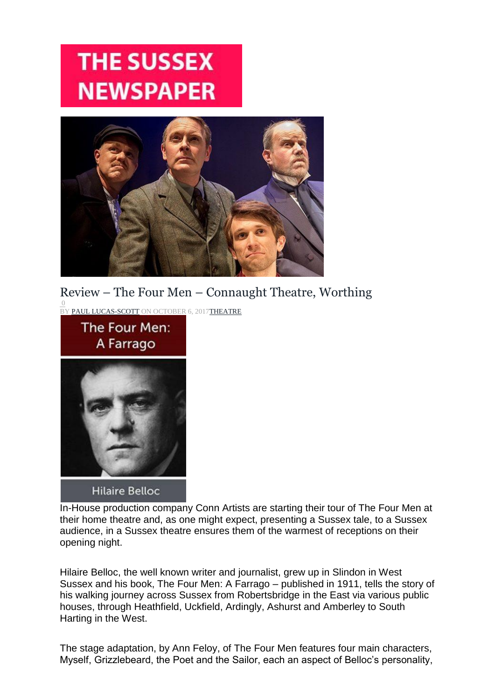## **THE SUSSEX NEWSPAPER**



## Review – The Four Men – Connaught Theatre, Worthing

 $\overline{0}$ BY PAUL LUCAS-SCOTT ON OCTOBER 6, 2017THEATRE



In-House production company Conn Artists are starting their tour of The Four Men at their home theatre and, as one might expect, presenting a Sussex tale, to a Sussex audience, in a Sussex theatre ensures them of the warmest of receptions on their opening night.

Hilaire Belloc, the well known writer and journalist, grew up in Slindon in West Sussex and his book, The Four Men: A Farrago – published in 1911, tells the story of his walking journey across Sussex from Robertsbridge in the East via various public houses, through Heathfield, Uckfield, Ardingly, Ashurst and Amberley to South Harting in the West.

The stage adaptation, by Ann Feloy, of The Four Men features four main characters, Myself, Grizzlebeard, the Poet and the Sailor, each an aspect of Belloc's personality,